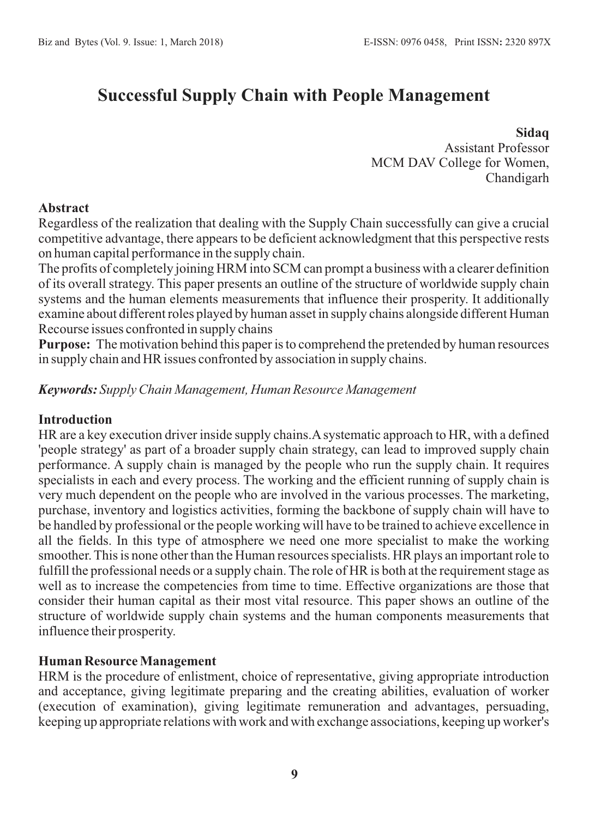# **Successful Supply Chain with People Management**

# **Sidaq**

Assistant Professor MCM DAV College for Women, Chandigarh

## **Abstract**

Regardless of the realization that dealing with the Supply Chain successfully can give a crucial competitive advantage, there appears to be deficient acknowledgment that this perspective rests on human capital performance in the supply chain.

The profits of completely joining HRM into SCM can prompt a business with a clearer definition of its overall strategy. This paper presents an outline of the structure of worldwide supply chain systems and the human elements measurements that influence their prosperity. It additionally examine about different roles played by human asset in supply chains alongside different Human Recourse issues confronted in supply chains

**Purpose:** The motivation behind this paper is to comprehend the pretended by human resources in supply chain and HR issues confronted by association in supply chains.

# *Keywords: Supply Chain Management, Human Resource Management*

#### **Introduction**

HR are a key execution driver inside supply chains.Asystematic approach to HR, with a defined 'people strategy' as part of a broader supply chain strategy, can lead to improved supply chain performance. A supply chain is managed by the people who run the supply chain. It requires specialists in each and every process. The working and the efficient running of supply chain is very much dependent on the people who are involved in the various processes. The marketing, purchase, inventory and logistics activities, forming the backbone of supply chain will have to be handled by professional or the people working will have to be trained to achieve excellence in all the fields. In this type of atmosphere we need one more specialist to make the working smoother. This is none other than the Human resources specialists. HR plays an important role to fulfill the professional needs or a supply chain. The role of HR is both at the requirement stage as well as to increase the competencies from time to time. Effective organizations are those that consider their human capital as their most vital resource. This paper shows an outline of the structure of worldwide supply chain systems and the human components measurements that influence their prosperity.

# **Human Resource Management**

HRM is the procedure of enlistment, choice of representative, giving appropriate introduction and acceptance, giving legitimate preparing and the creating abilities, evaluation of worker (execution of examination), giving legitimate remuneration and advantages, persuading, keeping up appropriate relations with work and with exchange associations, keeping up worker's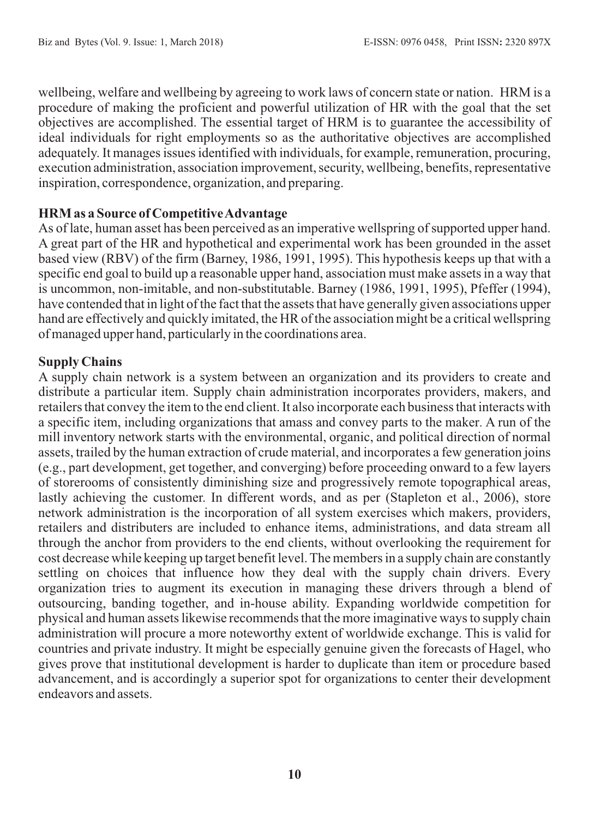wellbeing, welfare and wellbeing by agreeing to work laws of concern state or nation. HRM is a procedure of making the proficient and powerful utilization of HR with the goal that the set objectives are accomplished. The essential target of HRM is to guarantee the accessibility of ideal individuals for right employments so as the authoritative objectives are accomplished adequately. It manages issues identified with individuals, for example, remuneration, procuring, execution administration, association improvement, security, wellbeing, benefits, representative inspiration, correspondence, organization, and preparing.

# **HRM as a Source of Competitive Advantage**

As of late, human asset has been perceived as an imperative wellspring of supported upper hand. A great part of the HR and hypothetical and experimental work has been grounded in the asset based view (RBV) of the firm (Barney, 1986, 1991, 1995). This hypothesis keeps up that with a specific end goal to build up a reasonable upper hand, association must make assets in a way that is uncommon, non-imitable, and non-substitutable. Barney (1986, 1991, 1995), Pfeffer (1994), have contended that in light of the fact that the assets that have generally given associations upper hand are effectively and quickly imitated, the HR of the association might be a critical wellspring of managed upper hand, particularly in the coordinations area.

# **Supply Chains**

A supply chain network is a system between an organization and its providers to create and distribute a particular item. Supply chain administration incorporates providers, makers, and retailers that convey the item to the end client. It also incorporate each business that interacts with a specific item, including organizations that amass and convey parts to the maker. A run of the mill inventory network starts with the environmental, organic, and political direction of normal assets, trailed by the human extraction of crude material, and incorporates a few generation joins (e.g., part development, get together, and converging) before proceeding onward to a few layers of storerooms of consistently diminishing size and progressively remote topographical areas, lastly achieving the customer. In different words, and as per (Stapleton et al., 2006), store network administration is the incorporation of all system exercises which makers, providers, retailers and distributers are included to enhance items, administrations, and data stream all through the anchor from providers to the end clients, without overlooking the requirement for cost decrease while keeping up target benefit level. The members in a supply chain are constantly settling on choices that influence how they deal with the supply chain drivers. Every organization tries to augment its execution in managing these drivers through a blend of outsourcing, banding together, and in-house ability. Expanding worldwide competition for physical and human assets likewise recommends that the more imaginative ways to supply chain administration will procure a more noteworthy extent of worldwide exchange. This is valid for countries and private industry. It might be especially genuine given the forecasts of Hagel, who gives prove that institutional development is harder to duplicate than item or procedure based advancement, and is accordingly a superior spot for organizations to center their development endeavors and assets.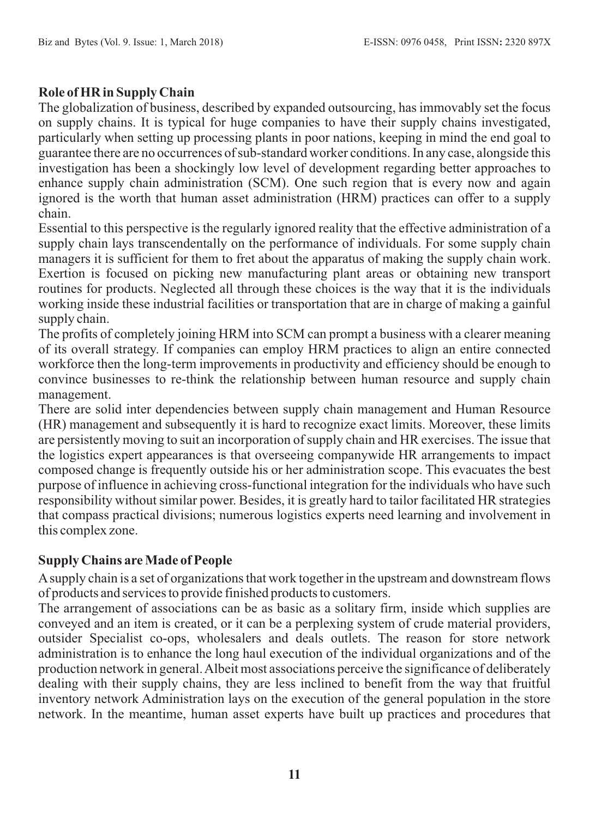# **Role of HR in Supply Chain**

The globalization of business, described by expanded outsourcing, has immovably set the focus on supply chains. It is typical for huge companies to have their supply chains investigated, particularly when setting up processing plants in poor nations, keeping in mind the end goal to guarantee there are no occurrences of sub-standard worker conditions. In any case, alongside this investigation has been a shockingly low level of development regarding better approaches to enhance supply chain administration (SCM). One such region that is every now and again ignored is the worth that human asset administration (HRM) practices can offer to a supply chain.

Essential to this perspective is the regularly ignored reality that the effective administration of a supply chain lays transcendentally on the performance of individuals. For some supply chain managers it is sufficient for them to fret about the apparatus of making the supply chain work. Exertion is focused on picking new manufacturing plant areas or obtaining new transport routines for products. Neglected all through these choices is the way that it is the individuals working inside these industrial facilities or transportation that are in charge of making a gainful supply chain.

The profits of completely joining HRM into SCM can prompt a business with a clearer meaning of its overall strategy. If companies can employ HRM practices to align an entire connected workforce then the long-term improvements in productivity and efficiency should be enough to convince businesses to re-think the relationship between human resource and supply chain management.

There are solid inter dependencies between supply chain management and Human Resource (HR) management and subsequently it is hard to recognize exact limits. Moreover, these limits are persistently moving to suit an incorporation of supply chain and HR exercises. The issue that the logistics expert appearances is that overseeing companywide HR arrangements to impact composed change is frequently outside his or her administration scope. This evacuates the best purpose of influence in achieving cross-functional integration for the individuals who have such responsibility without similar power. Besides, it is greatly hard to tailor facilitated HR strategies that compass practical divisions; numerous logistics experts need learning and involvement in this complex zone.

# **Supply Chains are Made of People**

Asupply chain is a set of organizations that work together in the upstream and downstream flows of products and services to provide finished products to customers.

The arrangement of associations can be as basic as a solitary firm, inside which supplies are conveyed and an item is created, or it can be a perplexing system of crude material providers, outsider Specialist co-ops, wholesalers and deals outlets. The reason for store network administration is to enhance the long haul execution of the individual organizations and of the production network in general. Albeit most associations perceive the significance of deliberately dealing with their supply chains, they are less inclined to benefit from the way that fruitful inventory network Administration lays on the execution of the general population in the store network. In the meantime, human asset experts have built up practices and procedures that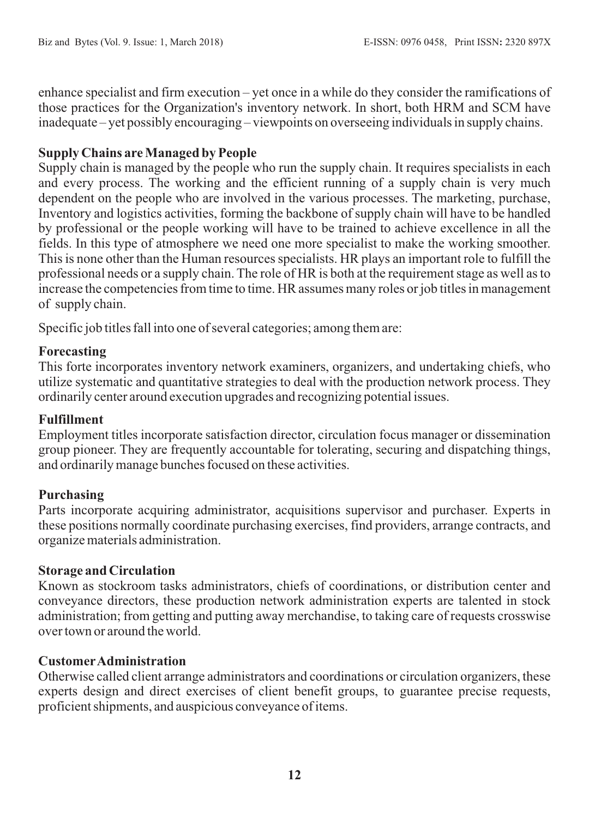enhance specialist and firm execution – yet once in a while do they consider the ramifications of those practices for the Organization's inventory network. In short, both HRM and SCM have inadequate – yet possibly encouraging – viewpoints on overseeing individuals in supply chains.

## **Supply Chains are Managed by People**

Supply chain is managed by the people who run the supply chain. It requires specialists in each and every process. The working and the efficient running of a supply chain is very much dependent on the people who are involved in the various processes. The marketing, purchase, Inventory and logistics activities, forming the backbone of supply chain will have to be handled by professional or the people working will have to be trained to achieve excellence in all the fields. In this type of atmosphere we need one more specialist to make the working smoother. This is none other than the Human resources specialists. HR plays an important role to fulfill the professional needs or a supply chain. The role of HR is both at the requirement stage as well as to increase the competencies from time to time. HR assumes many roles or job titles in management of supply chain.

Specific job titles fall into one of several categories; among them are:

## **Forecasting**

This forte incorporates inventory network examiners, organizers, and undertaking chiefs, who utilize systematic and quantitative strategies to deal with the production network process. They ordinarily center around execution upgrades and recognizing potential issues.

#### **Fulfillment**

Employment titles incorporate satisfaction director, circulation focus manager or dissemination group pioneer. They are frequently accountable for tolerating, securing and dispatching things, and ordinarily manage bunches focused on these activities.

# **Purchasing**

Parts incorporate acquiring administrator, acquisitions supervisor and purchaser. Experts in these positions normally coordinate purchasing exercises, find providers, arrange contracts, and organize materials administration.

#### **Storage and Circulation**

Known as stockroom tasks administrators, chiefs of coordinations, or distribution center and conveyance directors, these production network administration experts are talented in stock administration; from getting and putting away merchandise, to taking care of requests crosswise over town or around the world.

# **CustomerAdministration**

Otherwise called client arrange administrators and coordinations or circulation organizers, these experts design and direct exercises of client benefit groups, to guarantee precise requests, proficient shipments, and auspicious conveyance of items.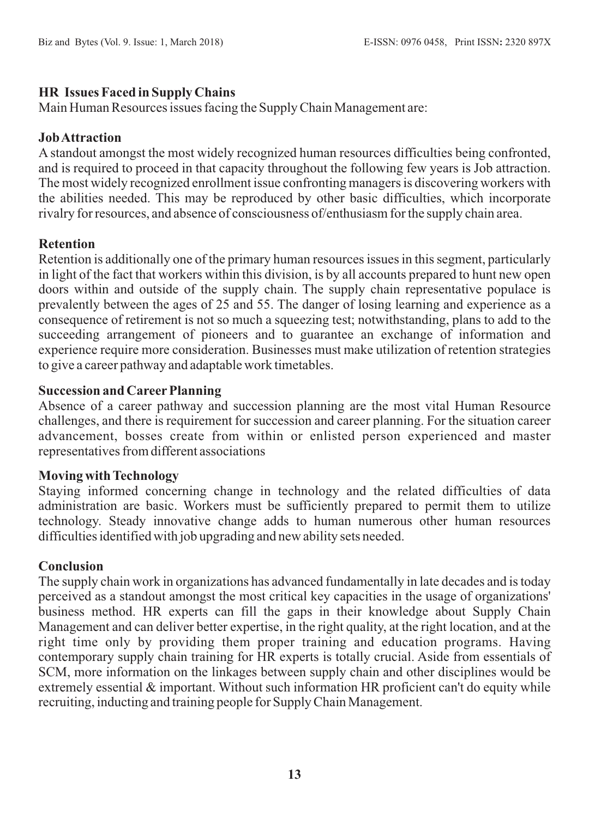# **HR Issues Faced in Supply Chains**

Main Human Resources issues facing the Supply Chain Management are:

# **Job Attraction**

A standout amongst the most widely recognized human resources difficulties being confronted, and is required to proceed in that capacity throughout the following few years is Job attraction. The most widely recognized enrollment issue confronting managers is discovering workers with the abilities needed. This may be reproduced by other basic difficulties, which incorporate rivalry for resources, and absence of consciousness of/enthusiasm for the supply chain area.

## **Retention**

Retention is additionally one of the primary human resources issues in this segment, particularly in light of the fact that workers within this division, is by all accounts prepared to hunt new open doors within and outside of the supply chain. The supply chain representative populace is prevalently between the ages of 25 and 55. The danger of losing learning and experience as a consequence of retirement is not so much a squeezing test; notwithstanding, plans to add to the succeeding arrangement of pioneers and to guarantee an exchange of information and experience require more consideration. Businesses must make utilization of retention strategies to give a career pathway and adaptable work timetables.

# **Succession and Career Planning**

Absence of a career pathway and succession planning are the most vital Human Resource challenges, and there is requirement for succession and career planning. For the situation career advancement, bosses create from within or enlisted person experienced and master representatives from different associations

#### **Moving with Technology**

Staying informed concerning change in technology and the related difficulties of data administration are basic. Workers must be sufficiently prepared to permit them to utilize technology. Steady innovative change adds to human numerous other human resources difficulties identified with job upgrading and new ability sets needed.

#### **Conclusion**

The supply chain work in organizations has advanced fundamentally in late decades and is today perceived as a standout amongst the most critical key capacities in the usage of organizations' business method. HR experts can fill the gaps in their knowledge about Supply Chain Management and can deliver better expertise, in the right quality, at the right location, and at the right time only by providing them proper training and education programs. Having contemporary supply chain training for HR experts is totally crucial. Aside from essentials of SCM, more information on the linkages between supply chain and other disciplines would be extremely essential  $\&$  important. Without such information HR proficient can't do equity while recruiting, inducting and training people for Supply Chain Management.